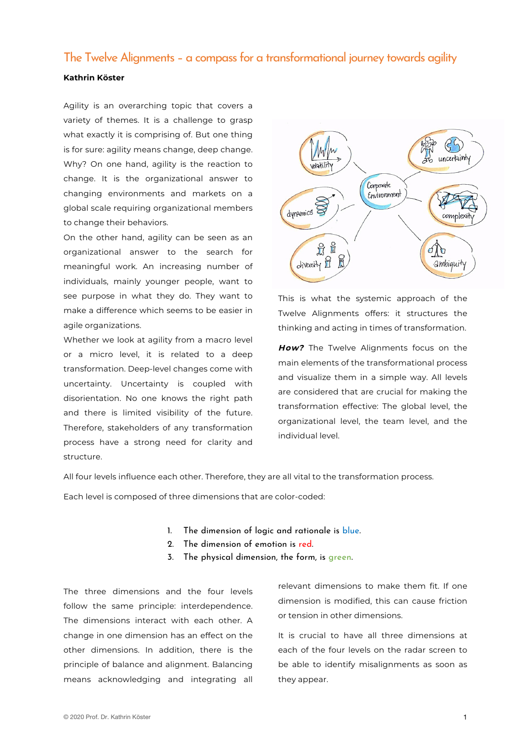# The Twelve Alignments – a compass for a transformational journey towards agility

# **Kathrin Köster**

Agility is an overarching topic that covers a variety of themes. It is a challenge to grasp what exactly it is comprising of. But one thing is for sure: agility means change, deep change. Why? On one hand, agility is the reaction to change. It is the organizational answer to changing environments and markets on a global scale requiring organizational members to change their behaviors.

On the other hand, agility can be seen as an organizational answer to the search for meaningful work. An increasing number of individuals, mainly younger people, want to see purpose in what they do. They want to make a difference which seems to be easier in agile organizations.

Whether we look at agility from a macro level or a micro level, it is related to a deep transformation. Deep-level changes come with uncertainty. Uncertainty is coupled with disorientation. No one knows the right path and there is limited visibility of the future. Therefore, stakeholders of any transformation process have a strong need for clarity and structure.



This is what the systemic approach of the Twelve Alignments offers: it structures the thinking and acting in times of transformation.

**How?** The Twelve Alignments focus on the main elements of the transformational process and visualize them in a simple way. All levels are considered that are crucial for making the transformation effective: The global level, the organizational level, the team level, and the individual level.

All four levels influence each other. Therefore, they are all vital to the transformation process.

Each level is composed of three dimensions that are color-coded:

- 1. The dimension of logic and rationale is blue.
- 2. The dimension of emotion is red.
- 3. The physical dimension, the form, is green.

The three dimensions and the four levels follow the same principle: interdependence. The dimensions interact with each other. A change in one dimension has an effect on the other dimensions. In addition, there is the principle of balance and alignment. Balancing means acknowledging and integrating all

relevant dimensions to make them fit. If one dimension is modified, this can cause friction or tension in other dimensions.

It is crucial to have all three dimensions at each of the four levels on the radar screen to be able to identify misalignments as soon as they appear.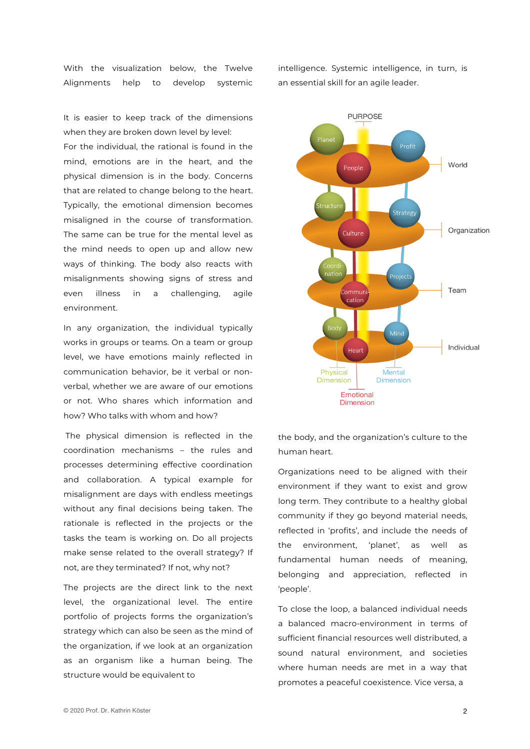With the visualization below, the Twelve Alignments help to develop systemic

It is easier to keep track of the dimensions when they are broken down level by level:

For the individual, the rational is found in the mind, emotions are in the heart, and the physical dimension is in the body. Concerns that are related to change belong to the heart. Typically, the emotional dimension becomes misaligned in the course of transformation. The same can be true for the mental level as the mind needs to open up and allow new ways of thinking. The body also reacts with misalignments showing signs of stress and even illness in a challenging, agile environment.

In any organization, the individual typically works in groups or teams. On a team or group level, we have emotions mainly reflected in communication behavior, be it verbal or nonverbal, whether we are aware of our emotions or not. Who shares which information and how? Who talks with whom and how?

The physical dimension is reflected in the coordination mechanisms – the rules and processes determining effective coordination and collaboration. A typical example for misalignment are days with endless meetings without any final decisions being taken. The rationale is reflected in the projects or the tasks the team is working on. Do all projects make sense related to the overall strategy? If not, are they terminated? If not, why not?

The projects are the direct link to the next level, the organizational level. The entire portfolio of projects forms the organization's strategy which can also be seen as the mind of the organization, if we look at an organization as an organism like a human being. The structure would be equivalent to

intelligence. Systemic intelligence, in turn, is an essential skill for an agile leader.



the body, and the organization's culture to the human heart.

Organizations need to be aligned with their environment if they want to exist and grow long term. They contribute to a healthy global community if they go beyond material needs, reflected in 'profits', and include the needs of the environment, 'planet', as well as fundamental human needs of meaning, belonging and appreciation, reflected in 'people'.

To close the loop, a balanced individual needs a balanced macro-environment in terms of sufficient financial resources well distributed, a sound natural environment, and societies where human needs are met in a way that promotes a peaceful coexistence. Vice versa, a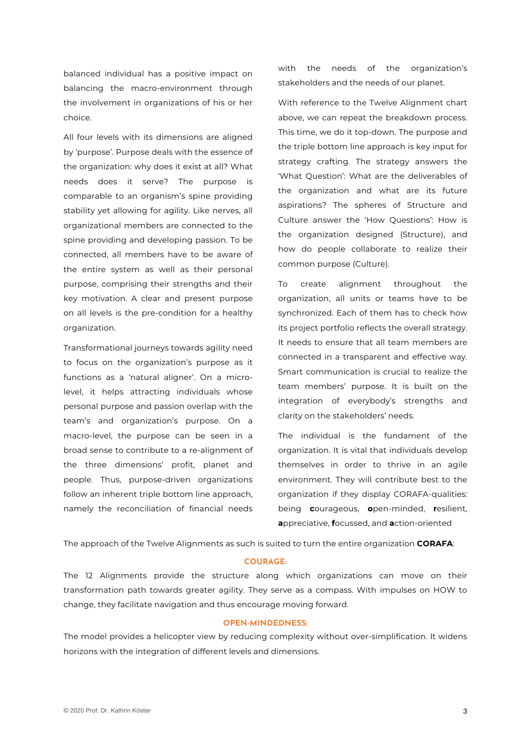balanced individual has a positive impact on balancing the macro-environment through the involvement in organizations of his or her choice.

All four levels with its dimensions are aligned by 'purpose'. Purpose deals with the essence of the organization: why does it exist at all? What needs does it serve? The purpose is comparable to an organism's spine providing stability yet allowing for agility. Like nerves, all organizational members are connected to the spine providing and developing passion. To be connected, all members have to be aware of the entire system as well as their personal purpose, comprising their strengths and their key motivation. A clear and present purpose on all levels is the pre-condition for a healthy organization.

Transformational journeys towards agility need to focus on the organization's purpose as it functions as a 'natural aligner'. On a microlevel, it helps attracting individuals whose personal purpose and passion overlap with the team's and organization's purpose. On a macro-level, the purpose can be seen in a broad sense to contribute to a re-alignment of the three dimensions' profit, planet and people. Thus, purpose-driven organizations follow an inherent triple bottom line approach, namely the reconciliation of financial needs

with the needs of the organization's stakeholders and the needs of our planet.

With reference to the Twelve Alignment chart above, we can repeat the breakdown process. This time, we do it top-down. The purpose and the triple bottom line approach is key input for strategy crafting. The strategy answers the 'What Question': What are the deliverables of the organization and what are its future aspirations? The spheres of Structure and Culture answer the 'How Questions': How is the organization designed (Structure), and how do people collaborate to realize their common purpose (Culture).

To create alignment throughout the organization, all units or teams have to be synchronized. Each of them has to check how its project portfolio reflects the overall strategy. It needs to ensure that all team members are connected in a transparent and effective way. Smart communication is crucial to realize the team members' purpose. It is built on the integration of everybody's strengths and clarity on the stakeholders' needs.

The individual is the fundament of the organization. It is vital that individuals develop themselves in order to thrive in an agile environment. They will contribute best to the organization if they display CORAFA-qualities: being **c**ourageous, **o**pen-minded, **r**esilient, **a**ppreciative, **f**ocussed, and **a**ction-oriented

The approach of the Twelve Alignments as such is suited to turn the entire organization **CORAFA**:

#### **COURAGE:**

The 12 Alignments provide the structure along which organizations can move on their transformation path towards greater agility. They serve as a compass. With impulses on HOW to change, they facilitate navigation and thus encourage moving forward.

#### **OPEN-MINDEDNESS:**

The model provides a helicopter view by reducing complexity without over-simplification. It widens horizons with the integration of different levels and dimensions.